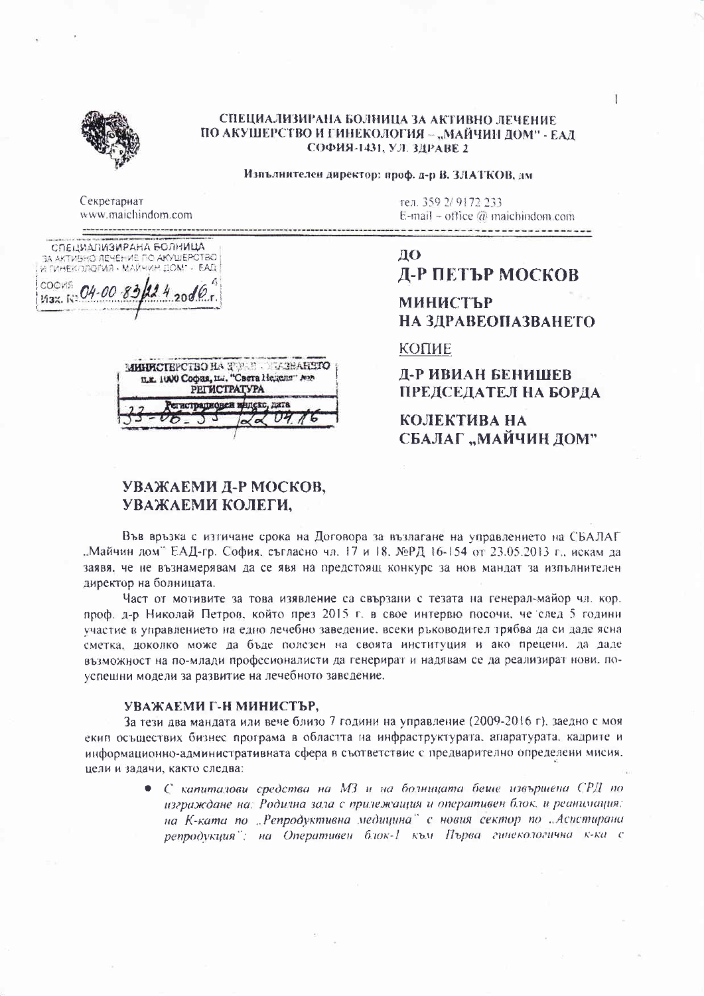

#### СПЕЦИАЛИЗИРАНА БОЛНИЦА ЗА АКТИВНО ЛЕЧЕНИЕ ПО АКУШЕРСТВО И ГИНЕКОЛОГИЯ - "МАЙЧИН ДОМ" - ЕАД СОФИЯ-1431, УЛ. ЗДРАВЕ 2

Изпълнителен директор: проф. д-р В. ЗЛАТКОВ, дм

Секретариат www.maichindom.com

СПЕЦИАЛИЗИРАНА БОЛНИЦА SA AKTWEHO JEHEHME RO AKYWERCTBO Max. K: 04-00-83  $424.2006$ 



тел. 359 2/ 9172 233 E-mail – office  $\omega$  maichindom.com

ДО

# Д-Р ПЕТЪР МОСКОВ

## **МИНИСТЪР** НА ЗДРАВЕОПАЗВАНЕТО

КОПИЕ

Д-Р ИВИАН БЕНИШЕВ ПРЕДСЕДАТЕЛ НА БОРДА

КОЛЕКТИВА НА СБАЛАГ "МАЙЧИН ДОМ"

## УВАЖАЕМИ Д-Р МОСКОВ, УВАЖАЕМИ КОЛЕГИ.

Във връзка с изтичане срока на Договора за възлагане на управлението на СБАЛАГ . Майчин дом" ЕАД-гр. София, съгласно чл. 17 и 18. №РД 16-154 от 23.05.2013 г., искам да заявя, че не възнамерявам да се явя на предстоящ конкурс за нов мандат за изпълнителен директор на болницата.

Част от мотивите за това изявление са свързани с тезата на генерал-майор чл. кор. проф. д-р Николай Петров, който през 2015 г. в свое интервю посочи, че след 5 години участие в управлението на едно лечебно заведение, всеки ръководител трябва да си даде ясна сметка, доколко може да бъде полезен на своята институция и ако прецени, да даде възможност на по-млади професионалисти да генерират и надявам се да реализират нови, поуспешни модели за развитие на лечебното заведение.

## УВАЖАЕМИ Г-Н МИНИСТЪР,

За тези два мандата или вече близо 7 години на управление (2009-2016 г), заедно с моя екип осъществих бизнес програма в областта на инфраструктурата, апаратурата, кадрите и информационно-административната сфера в съответствие с предварително определени мисия. цели и задачи, както следва:

> • С капиталови средства на МЗ и на болницата беше извършена СРД по изграждане на: Родилна зала с прилежащия и оперативен блок, и реанимация: на К-ката по "Репродуктивна медицина" с новия сектор по "Асистирана репродукция": на Оперативен блок-1 към Първа гинекологична к-ка с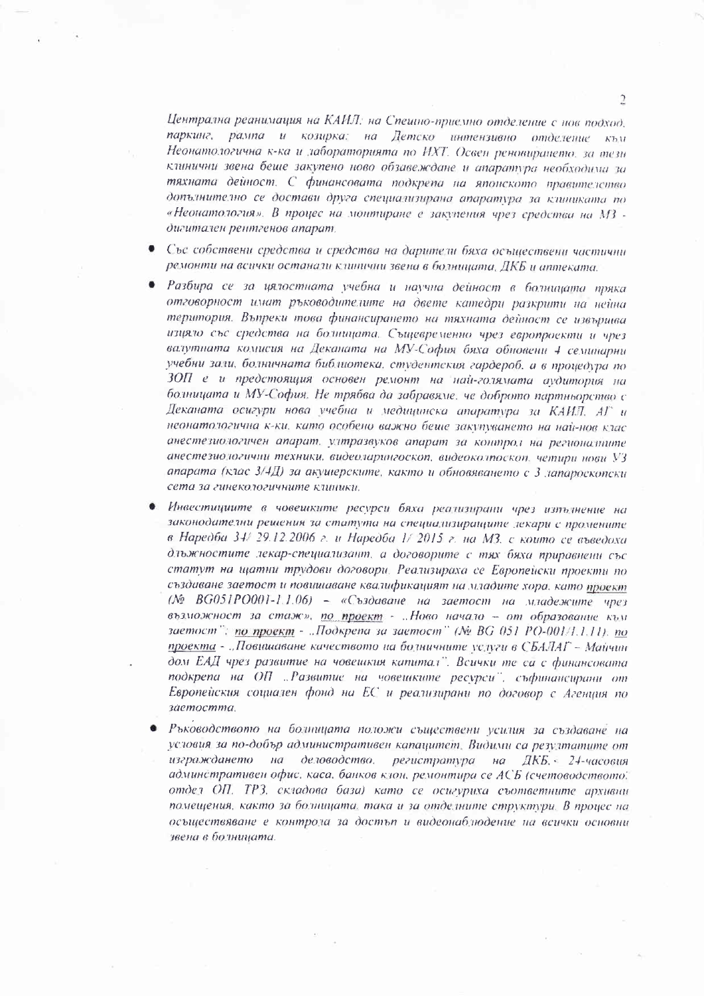Централна реанимация на КАИЛ: на Спешно-приемно отделение с нов подход. паркинг, рампа и козирка: на Детско интензивно отделение към Неонатологична к-ка и лабораторията по ИХТ. Освен реновирането, за тезн клинични звена беше закупено ново обзавеждане и апаратура необходима за тяхната дейност. С финансовата подкрепа на японското правителство допълнително се достави друга специализирана апаратура за клиниката по «Неонатология». В процес на монтиране е закупения чрез средства на МЗ дигитален рентгенов апарат.

- Със собствени средства и средства на дарители бяха осъществени частични  $\bullet$ ремонти на всички останали клипични звена в болницата. ДКБ и аптеката.
- $\bullet$ Разбира се за цялостната учебна и научна дейност в болницата пряка отговорност имат ръководителите на двете катедри разкрити на нейна територия. Въпреки това финансирането на тяхната дейност се извършва изцяло със средства на болницата. Същевременно чрез европроекти и чрез валутната комисия на Деканата на МУ-София бяха обновени 4 семинарни учебни зали, болничната библиотека, студентския гардероб, а в процедура по ЗОП е и предстоящия основен ремонт на най-голямата аудитория на болницата и МУ-София. Не трябва да забравяме, че доброто партньорство с Деканата осигури нова учебна и медицинска апаратура за КАИЛ. АГ и неонатологична к-ки, като особено важно беше закупуването на най-нов клас анестезиологичен апарат, ултразвуков апарат за контрол на регионалните анестезиологични техники, видеоларингоскоп, видеоколпоскоп, четири нови УЗ апарата (клас 3/4Д) за акушерските, както и обновяването с 3 лапароскопски сета за гинекологичните клиники.
- Инвестициите в човешките ресурси бяха реализирани чрез изтълнение на законодателни решения за статута на специализиращите лекари с промените в Наредба 34/29.12.2006 г. и Наредба 1/2015 г. на МЗ. с които се въведоха длыжностите лекар-специализант, а договорите с тях бяха приравнени със статут на щатни трудови договори. Реализираха се Европейски проекти по създаване заетост и повишаване квалификацият на младите хора, като проект (№ ВG051РО001-1.1.06) - «Създаване на заетост на младежите чрез възможност за стаж», по проект - "Ново начало - от образование към заетост": по проект - ..Подкрепа за заетост" (№ ВG 051 РО-001/1.1.11). по проекта - "Повишаване качеството на болничните услуги в СБАЛАГ - Майчин дом ЕАД чрез развитие на човешкия катитал". Всички те са с финансовата подкрепа на ОП "Развитие на човешките ресурси", съфинансирани от Европейския социален фонд на ЕС и реализирани по договор с Агенция по заетостта.
- Ръководството на болницата положи съществени усилия за създаване на условия за по-добър административен капацитет. Видими са резултатите от изграждането на деловодство, регистратура на ДКБ, 24-часовия админстративен офис, каса, банков клон, ремонтира се АСБ (счетоводството, отдел ОП. ТРЗ, складова база) като се осигуриха съответните архивни помещения, както за болницата, така и за отделните структури. В процес на осъществяване е контрола за достъп и видеонаблюдение на всички основни звена в болницата.

 $\mathfrak{D}$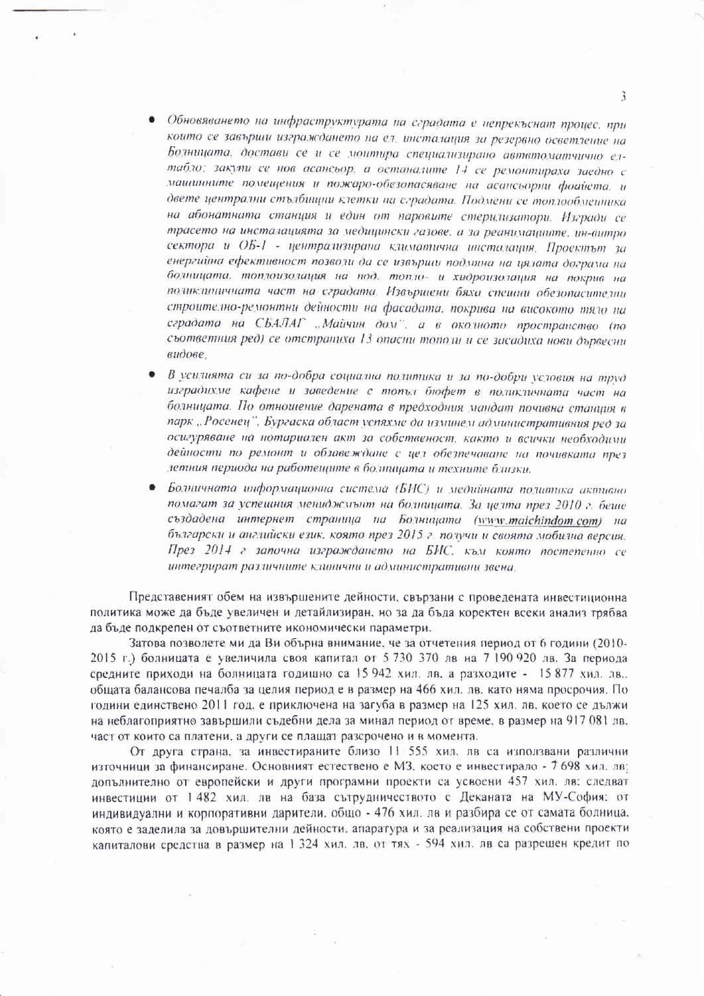- Обновяването на инфраструктурата на сградата е непрекъснат процес, при които се завърши изграждането на ел, инсталация за резервно осветление на Болницата, достави се и се монтира специализирано автвтоматчично елтабло: закупи се нов асансьор, а останалите 14 се ремонтираха заедно с машинните помещения и пожаро-обезопасяване на асансьорни фоайста, и двете централни стълбищни клетки на сградата. Подмени се топлообменника на абонатната станция и един от паровите стерилизатори. Изгради се трасето на инсталацията за медицински газове, а за реанимациите, ин-витро сектора и ОБ-1 - централизирана климатична инсталация. Проектът за енергийна ефективност позволи да се извърши подмяна на цялата дограма на болницата, топлоизолация на под, топло- и хидроизолация на покрив на поликлиничната част на сградата. Извършени бяха спешни обезопасителни строително-ремонтни дейности на фасадата, покрива на високото тяло на сградата на СБАЛАГ "Майчин дом", а в околното пространство (по съответния ред) се отстраниха 13 опасни тополи и се засадиха нови дървесни видове.
- В усилията си за по-добра социална политика и за по-добри условия на труд изградихме кафене и заведение с топъл бюфет в поликличната част на болницата. По отношение дарената в предходния мандат почивна станция в парк "Росенец", Бургаска област успяхме да изминем административния ред за осигуряване на нотариален акт за собственост, както и всички необходими дейности по ремонт и обзавеждане с цел обезпечаване на почивката през летния периода на работещите в болницата и техните близки.
- Болничната информационна система (БИС) и медийната политика активно помагат за успешния мениджмыт на болницата. За целта през 2010 г. беше създадена интернет страница на Болницата (www.maichindom.com) на български и английски език, която през 2015 г. получи и своята мобилна версия. През 2014 г започна изграждането на БИС, към която постепенно се интегрират различните клинични и административни звена.

Представеният обем на извършените дейности, свързани с проведената инвестиционна политика може да бъде увеличен и детайлизиран, но за да бъда коректен всеки анализ трябва да бъде подкрепен от съответните икономически параметри.

Затова позволете ми да Ви обърна внимание, че за отчетения период от 6 години (2010-2015 г.) болницата е увеличила своя капитал от 5 730 370 лв на 7 190 920 лв. За периода средните приходи на болницата годишно са 15 942 хил. лв. а разходите - 15 877 хил. лв. общата балансова печалба за целия период е в размер на 466 хил. лв. като няма просрочия. По години единствено 2011 год, е приключена на загуба в размер на 125 хил. лв. което се дължи на неблагоприятно завършили съдебни дела за минал период от време, в размер на 917 081 лв. част от които са платени, а други се плащат разсрочено и в момента.

От друга страна, за инвестираните близо 11 555 хил. лв са използвани различни източници за финансиране. Основният естествено е МЗ, което е инвестирало - 7 698 хил. лв: допълнително от европейски и други програмни проекти са усвоени 457 хил. лв. следват инвестиции от 1482 хил. лв на база сътрудничеството с Деканата на МУ-София: от индивидуални и корпоративни дарители. общо - 476 хил. лв и разбира се от самата болница. която е заделила за довършителни дейности, апаратура и за реализация на собствени проекти капиталови средства в размер на 1 324 хил. лв. от тях - 594 хил. лв са разрешен кредит по

 $\mathbf{R}$